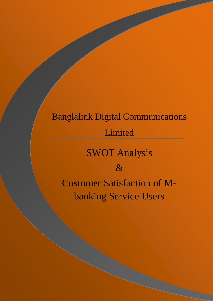# Banglalink Digital Communications Limited SWOT Analysis & Customer Satisfaction of Mbanking Service Users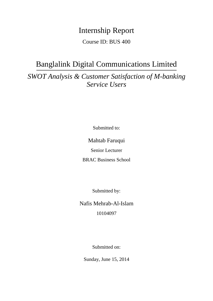### Internship Report

Course ID: BUS 400

### Banglalink Digital Communications Limited

*SWOT Analysis & Customer Satisfaction of M-banking Service Users*

Submitted to:

Mahtab Faruqui

Senior Lecturer

BRAC Business School

Submitted by:

Nafis Mehrab-Al-Islam 10104097

Submitted on:

Sunday, June 15, 2014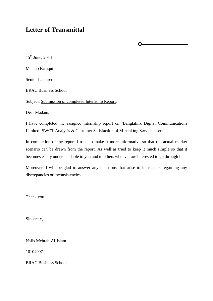### **Letter of Transmittal**

 $15^{\text{th}}$  June, 2014 Mahtab Faruqui Senior Lecturer BRAC Business School

Subject: Submission of completed Internship Report.

Dear Madam,

I have completed the assigned internship report on 'Banglalink Digital Communications Limited- SWOT Analysis & Customer Satisfaction of M-banking Service Users'.

❖

In completion of the report I tried to make it more informative so that the actual market scenario can be drawn from the report. As well as tried to keep it much simple so that it becomes easily understandable to you and to others whoever are interested to go through it.

Moreover, I will be glad to answer any questions that arise to its readers regarding any discrepancies or inconsistencies.

Thank you.

Sincerely,

Nafis Mehrab-Al-Islam

10104097

BRAC Business School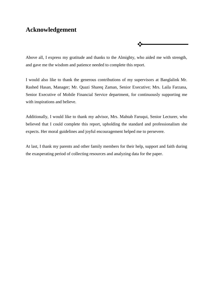### **Acknowledgement**

Above all, I express my gratitude and thanks to the Almighty, who aided me with strength, and gave me the wisdom and patience needed to complete this report.

∙∑÷

I would also like to thank the generous contributions of my supervisors at Banglalink Mr. Rashed Hasan, Manager; Mr. Quazi Shareq Zaman, Senior Executive; Mrs. Laila Farzana, Senior Executive of Mobile Financial Service department, for continuously supporting me with inspirations and believe.

Additionally, I would like to thank my advisor, Mrs. Mahtab Faruqui, Senior Lecturer, who believed that I could complete this report, upholding the standard and professionalism she expects. Her moral guidelines and joyful encouragement helped me to persevere.

At last, I thank my parents and other family members for their help, support and faith during the exasperating period of collecting resources and analyzing data for the paper.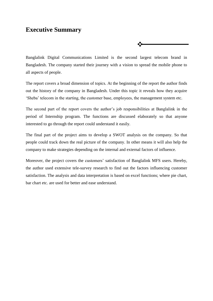#### **Executive Summary**

Banglalink Digital Communications Limited is the second largest telecom brand in Bangladesh. The company started their journey with a vision to spread the mobile phone to all aspects of people.

•∡

The report covers a broad dimension of topics. At the beginning of the report the author finds out the history of the company in Bangladesh. Under this topic it reveals how they acquire 'Sheba' telecom in the starting, the customer base, employees, the management system etc.

The second part of the report covers the author's job responsibilities at Banglalink in the period of Internship program. The functions are discussed elaborately so that anyone interested to go through the report could understand it easily.

The final part of the project aims to develop a SWOT analysis on the company. So that people could track down the real picture of the company. In other means it will also help the company to make strategies depending on the internal and external factors of influence.

Moreover, the project covers the customers' satisfaction of Banglalink MFS users. Hereby, the author used extensive tele-survey research to find out the factors influencing customer satisfaction. The analysis and data interpretation is based on excel functions; where pie chart, bar chart etc. are used for better and ease understand.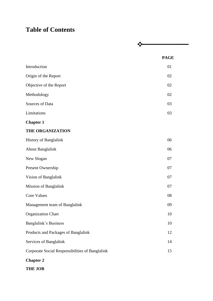### **Table of Contents**

|                                                 | <b>PAGE</b> |
|-------------------------------------------------|-------------|
| Introduction                                    | 01          |
| Origin of the Report                            | 02          |
| Objective of the Report                         | 02          |
| Methodology                                     | 02          |
| Sources of Data                                 | 03          |
| Limitations                                     | 03          |
| <b>Chapter 1</b>                                |             |
| <b>THE ORGANIZATION</b>                         |             |
| History of Banglalink                           | 06          |
| <b>About Banglalink</b>                         | 06          |
| New Slogan                                      | 07          |
| Present Ownership                               | 07          |
| Vision of Banglalink                            | 07          |
| Mission of Banglalink                           | 07          |
| <b>Core Values</b>                              | 08          |
| Management team of Banglalink                   | 09          |
| <b>Organization Chart</b>                       | 10          |
| Banglalink's Business                           | 10          |
| Products and Packages of Banglalink             | 12          |
| Services of Banglalink                          | 14          |
| Corporate Social Responsibilities of Banglalink | 15          |
| <b>Chapter 2</b>                                |             |
| <b>THE JOB</b>                                  |             |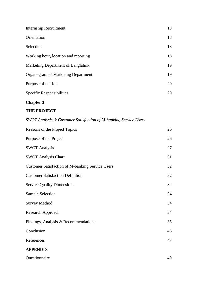| Internship Recruitment               | 18 |
|--------------------------------------|----|
| Orientation                          | 18 |
| Selection                            | 18 |
| Working hour, location and reporting | 18 |
| Marketing Department of Banglalink   | 19 |
| Organogram of Marketing Department   | 19 |
| Purpose of the Job                   | 20 |
| Specific Responsibilities            | 20 |

#### **Chapter 3**

#### **THE PROJECT**

| SWOT Analysis & Customer Satisfaction of M-banking Service Users |    |
|------------------------------------------------------------------|----|
| Reasons of the Project Topics                                    | 26 |
| Purpose of the Project                                           | 26 |
| <b>SWOT Analysis</b>                                             | 27 |
| <b>SWOT Analysis Chart</b>                                       | 31 |
| <b>Customer Satisfaction of M-banking Service Users</b>          | 32 |
| <b>Customer Satisfaction Definition</b>                          | 32 |
| <b>Service Quality Dimensions</b>                                | 32 |
| <b>Sample Selection</b>                                          | 34 |
| <b>Survey Method</b>                                             | 34 |
| Research Approach                                                | 34 |
| Findings, Analysis & Recommendations                             | 35 |
| Conclusion                                                       | 46 |
| References                                                       | 47 |
| <b>APPENDIX</b>                                                  |    |
| Questionnaire                                                    | 49 |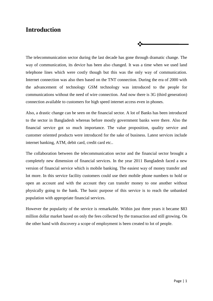### **Introduction**

The telecommunication sector during the last decade has gone through dramatic change. The way of communication, its device has been also changed. It was a time when we used land telephone lines which were costly though but this was the only way of communication. Internet connection was also then based on the TNT connection. During the era of 2000 with the advancement of technology GSM technology was introduced to the people for communications without the need of wire connection. And now there is 3G (third generation) connection available to customers for high speed internet access even in phones.

 $\ddot{\cdot}$ 

Also, a drastic change can be seen on the financial sector. A lot of Banks has been introduced to the sector in Bangladesh whereas before mostly government banks were there. Also the financial service got so much importance. The value proposition, quality service and customer oriented products were introduced for the sake of business. Latest services include internet banking, ATM, debit card, credit card etc..

The collaboration between the telecommunication sector and the financial sector brought a completely new dimension of financial services. In the year 2011 Bangladesh faced a new version of financial service which is mobile banking. The easiest way of money transfer and lot more. In this service facility customers could use their mobile phone numbers to hold or open an account and with the account they can transfer money to one another without physically going to the bank. The basic purpose of this service is to reach the unbanked population with appropriate financial services.

However the popularity of the service is remarkable. Within just three years it became \$83 million dollar market based on only the fees collected by the transaction and still growing. On the other hand with discovery a scope of employment is been created to lot of people.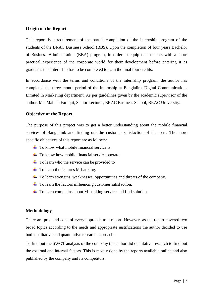#### **Origin of the Report**

This report is a requirement of the partial completion of the internship program of the students of the BRAC Business School (BBS). Upon the completion of four years Bachelor of Business Administration (BBA) program, in order to equip the students with a more practical experience of the corporate world for their development before entering it as graduates this internship has to be completed to earn the final four credits.

In accordance with the terms and conditions of the internship program, the author has completed the three month period of the internship at Banglalink Digital Communications Limited in Marketing department. As per guidelines given by the academic supervisor of the author, Ms. Mahtab Faruqui, Senior Lecturer, BRAC Business School, BRAC University.

#### **Objective of the Report**

The purpose of this project was to get a better understanding about the mobile financial services of Banglalink and finding out the customer satisfaction of its users. The more specific objectives of this report are as follows:

- $\ddot{\bullet}$  To know what mobile financial service is.
- $\uparrow$  To know how mobile financial service operate.
- $\overline{\phantom{a}}$  To learn who the service can be provided to
- $\ddot{\bullet}$  To learn the features M-banking.
- $\overline{\phantom{a}}$  To learn strengths, weaknesses, opportunities and threats of the company.
- $\ddot{\bullet}$  To learn the factors influencing customer satisfaction.
- $\overline{\phantom{a}}$  To learn complains about M-banking service and find solution.

#### **Methodology**

There are pros and cons of every approach to a report. However, as the report covered two broad topics according to the needs and appropriate justifications the author decided to use both qualitative and quantitative research approach.

To find out the SWOT analysis of the company the author did qualitative research to find out the external and internal factors. This is mostly done by the reports available online and also published by the company and its competitors.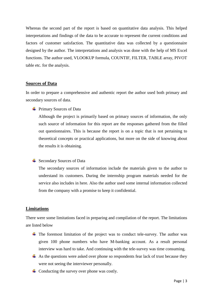Whereas the second part of the report is based on quantitative data analysis. This helped interpretations and findings of the data to be accurate to represent the current conditions and factors of customer satisfaction. The quantitative data was collected by a questionnaire designed by the author. The interpretations and analysis was done with the help of MS Excel functions. The author used, VLOOKUP formula, COUNTIF, FILTER, TABLE array, PIVOT table etc. for the analysis.

#### **Sources of Data**

In order to prepare a comprehensive and authentic report the author used both primary and secondary sources of data.

 $\overline{\text{P}}$  Primary Sources of Data

Although the project is primarily based on primary sources of information, the only such source of information for this report are the responses gathered from the filled out questionnaires. This is because the report is on a topic that is not pertaining to theoretical concepts or practical applications, but more on the side of knowing about the results it is obtaining.

 $\overline{\phantom{a}}$  Secondary Sources of Data

The secondary sources of information include the materials given to the author to understand its customers. During the internship program materials needed for the service also includes in here. Also the author used some internal information collected from the company with a promise to keep it confidential.

#### **Limitations**

There were some limitations faced in preparing and compilation of the report. The limitations are listed below

- $\ddot{+}$  The foremost limitation of the project was to conduct tele-survey. The author was given 100 phone numbers who have M-banking account. As a result personal interview was hard to take. And continuing with the tele-survey was time consuming.
- $\overline{\text{+}}$  As the questions were asked over phone so respondents fear lack of trust because they were not seeing the interviewer personally.
- $\overline{\phantom{a}}$  Conducting the survey over phone was costly.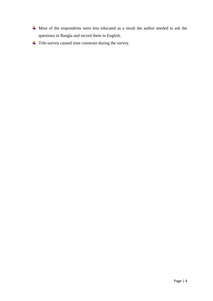- Most of the respondents were less educated as a result the author needed to ask the questions in Bangla and record them in English.
- **↓** Tele-survey caused time constrain during the survey.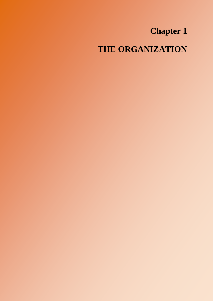## **Chapter 1**

**THE ORGANIZATION**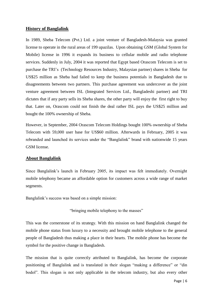#### **History of Banglalink**

In 1989, Sheba Telecom (Pvt.) Ltd. a joint venture of Bangladesh-Malaysia was granted license to operate in the rural areas of 199 upazilas. Upon obtaining GSM (Global System for Mobile) license in 1996 it expands its business to cellular mobile and radio telephone services. Suddenly in July, 2004 it was reported that Egypt based Orascom Telecom is set to purchase the TRI's (Technology Resources Industry, Malaysian partner) shares in Sheba for US\$25 million as Sheba had failed to keep the business potentials in Bangladesh due to disagreements between two partners. This purchase agreement was undercover as the joint venture agreement between ISL (Integrated Services Ltd., Bangladeshi partner) and TRI dictates that if any party sells its Sheba shares, the other party will enjoy the first right to buy that. Later on, Orascom could not finish the deal rather ISL pays the US\$25 million and bought the 100% ownership of Sheba.

However, in September, 2004 Orascom Telecom Holdings bought 100% ownership of Sheba Telecom with 59,000 user base for US\$60 million. Afterwards in February, 2005 it was rebranded and launched its services under the "Banglalink" brand with nationwide 15 years GSM license.

#### **About Banglalink**

Since Banglalink's launch in February 2005, its impact was felt immediately. Overnight mobile telephony became an affordable option for customers across a wide range of market segments.

Banglalink's success was based on a simple mission:

"bringing mobile telephony to the masses"

This was the cornerstone of its strategy. With this mission on hand Banglalink changed the mobile phone status from luxury to a necessity and brought mobile telephone to the general people of Bangladesh thus making a place in their hearts. The mobile phone has become the symbol for the positive change in Bangladesh.

The mission that is quite correctly attributed to Banglalink, has become the corporate positioning of Banglalink and is translated in their slogan "making a difference" or "din bodol". This slogan is not only applicable in the telecom industry, but also every other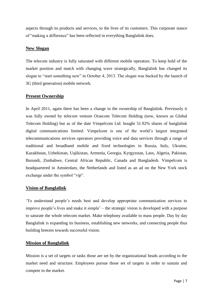aspects through its products and services, to the lives of its customers. This corporate stance of "making a difference" has been reflected in everything Banglalink does.

#### **New Slogan**

The telecom industry is fully saturated with different mobile operators. To keep hold of the market position and match with changing wave strategically, Banglalink has changed its slogan to "start something new" in October 4, 2013. The slogan was backed by the launch of 3G (third generation) mobile network.

#### **Present Ownership**

In April 2011, again there has been a change in the ownership of Banglalink. Previously it was fully owned by telecom venture Orascom Telecom Holding (now, known as Global Telecom Holding) but as of the date Vimpelcom Ltd. bought 51.92% shares of banglalink digital communications limited. Vimpelcom is one of the world's largest integrated telecommunications services operators providing voice and data services through a range of traditional and broadband mobile and fixed technologies in Russia, Italy, Ukraine, Kazakhstan, Uzbekistan, Uajikistan, Armenia, Georgia, Kyrgyzstan, Laos, Algeria, Pakistan, Burundi, Zimbabwe, Central African Republic, Canada and Bangladesh. Vimpelcom is headquartered in Amsterdam, the Netherlands and listed as an ad on the New York stock exchange under the symbol "vip".

#### **Vision of Banglalink**

'To understand people's needs best and develop appropriate communication services to improve people's lives and make it simple' – the strategic vision is developed with a purpose to saturate the whole telecom market. Make telephony available to mass people. Day by day Banglalink is expanding its business, establishing new networks, and connecting people thus building breezes towards successful vision.

#### **Mission of Banglalink**

Mission is a set of targets or tasks those are set by the organizational heads according to the market need and structure. Employees pursue those set of targets in order to sustain and compete in the market.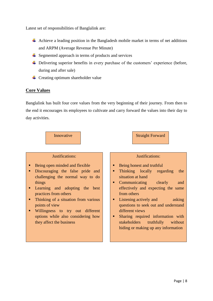Latest set of responsibilities of Banglalink are:

- Achieve a leading position in the Bangladesh mobile market in terms of net additions and ARPM (Average Revenue Per Minute)
- $\overline{\phantom{a}}$  Segmented approach in terms of products and services
- ↓ Delivering superior benefits in every purchase of the customers' experience (before, during and after sale)
- $\leftarrow$  Creating optimum shareholder value

#### **Core Values**

Banglalink has built four core values from the very beginning of their journey. From then to the end it encourages its employees to cultivate and carry forward the values into their day to day activities.

#### Innovative Reserves and Straight Forward

#### Justifications:

- Being open minded and flexible
- **Discouraging the false pride and** challenging the normal way to do things
- **Learning and adopting the best** practices from others
- Thinking of a situation from various points of view
- Willingness to try out different options while also considering how they affect the business

#### Justifications:

- Being honest and truthful
- Thinking locally regarding the situation at hand
- Communicating clearly and effectively and expecting the same from others
- **Listening actively and asking** questions to seek out and understand different views
- Sharing required information with stakeholders truthfully without hiding or making up any information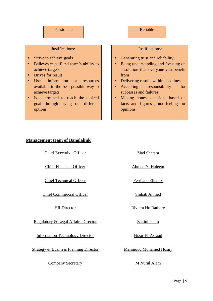#### Passionate

#### Justifications:

- **Strive to achieve goals**
- Believes in self and team's ability to achieve targets
- Drives for result
- Uses information or resources available in the best possible way to achieve targets
- If Is determined to reach the desired goal through trying out different options

#### Reliable

#### Justifications:

- Generating trust and reliability
- Being understanding and focusing on a solution that everyone can benefit from
- Delivering results within deadlines
- **Accepting** responsibility for successes and failures
- Making honest decisions based on facts and figures , not feelings or opinions

#### **Management team of Banglalink**

Chief Executive Officer Ziad Shatara

Chief Financial Officer Ahmad Y. Haleem

Chief Technical Officer Perihane Elhamy

Chief Commercial Officer Shihab Ahmed

Regulatory & Legal Affairs Director Zakiul Islam

Information Technology Director Nizar El-Assaad

Strategy & Business Planning Director Mahmoud Mohamed Hosny

**Company Secretary M** Nurul Alam

HR Director Riviera Ho Rathore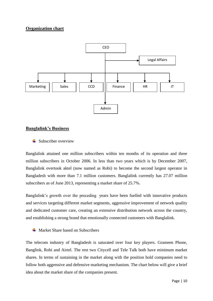#### **Organization chart**



#### **Banglalink's Business**

 $\triangleq$  Subscriber overview

Banglalink attained one million subscribers within ten months of its operation and three million subscribers in October 2006. In less than two years which is by December 2007, Banglalink overtook aktel (now named as Robi) to become the second largest operator in Bangladesh with more than 7.1 million customers. Banglalink currently has 27.07 million subscribers as of June 2013, representing a market share of 25.7%.

Banglalink's growth over the preceding years have been fuelled with innovative products and services targeting different market segments, aggressive improvement of network quality and dedicated customer care, creating an extensive distribution network across the country, and establishing a strong brand that emotionally connected customers with Banglalink.

 $\overline{\text{M}}$  Market Share based on Subscribers

The telecom industry of Bangladesh is saturated over four key players. Grameen Phone, Banglink, Robi and Airtel. The rest two Citycell and Tele Talk both have minimum market shares. In terms of sustaining in the market along with the position hold companies need to follow both aggressive and defensive marketing mechanism. The chart below will give a brief idea about the market share of the companies present.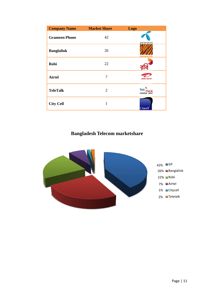| <b>Company Name</b>  | <b>Market Share</b> | <b>Logo</b>       |
|----------------------|---------------------|-------------------|
| <b>Grameen Phone</b> | 42                  | grameenphone      |
| <b>Banglalink</b>    | 26                  | banglalink        |
| <b>Robi</b>          | 22                  |                   |
| <b>Airtel</b>        | 7                   | airtel            |
| <b>TeleTalk</b>      | $\overline{2}$      | Tel<br>আমাদের ফোন |
| <b>City Cell</b>     | 1                   | <b>Citycell</b>   |

### **Bangladesh Telecom marketshare**

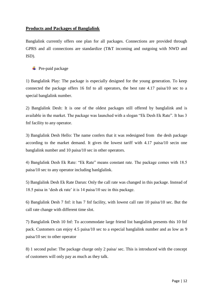#### **Products and Packages of Banglalink**

Banglalink currently offers one plan for all packages. Connections are provided through GPRS and all connections are standardize (T&T incoming and outgoing with NWD and ISD).

 $\overline{\phantom{a}}$  Pre-paid package

1) Banglalink Play: The package is especially designed for the young generation. To keep connected the package offers 16 fnf to all operators, the best rate 4.17 paisa/10 sec to a special banglalink number.

2) Banglalink Desh: It is one of the oldest packages still offered by banglalink and is available in the market. The package was launched with a slogan "Ek Desh Ek Rate". It has 3 fnf facility to any operator.

3) Banglalink Desh Hello: The name confers that it was redesigned from the desh package according to the market demand. It gives the lowest tariff with 4.17 paisa/10 secin one banglalink number and 10 paisa/10 sec in other operators.

4) Banglalink Desh Ek Rate: "Ek Rate" means constant rate. The package comes with 18.5 paisa/10 sec to any operator including banlglalink.

5) Banglalink Desh Ek Rate Darun: Only the call rate was changed in this package. Instead of 18.5 paisa in 'desh ek rate' it is 14 paisa/10 sec in this package.

6) Banglalink Desh 7 fnf: it has 7 fnf facility, with lowest call rate 10 paisa/10 sec. But the call rate change with different time slot.

7) Banglalink Desh 10 fnf: To accommodate large friend list banglalink presents this 10 fnf pack. Customers can enjoy 4.5 paisa/10 sec to a especial banglalink number and as low as 9 paisa/10 sec to other operator

8) 1 second pulse: The package charge only 2 paisa/ sec. This is introduced with the concept of customers will only pay as much as they talk.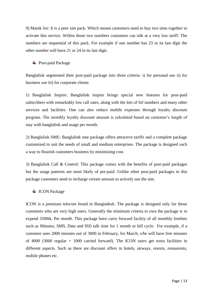9) Manik Jor: It is a peer sim pack. Which means customers need to buy two sims together to activate this service. Within those two numbers customers can talk at a very low tariff. The numbers are sequential of this pack. For example if one number has 23 in its last digit the other number will have 21 or 24 in its last digit.

 $\overline{\phantom{a}}$  Post-paid Package

Banglalink segmented their post-paid package into three criteria- i) for personal use ii) for business use iii) for corporate clients

1) Banglalink Inspire: Banglalink inspire brings special new features for post-paid subscribers with remarkably low call rates, along with the lots of fnf numbers and many other services and facilities. One can also reduce mobile expenses through loyalty discount program. The monthly loyalty discount amount is calculated based on customer's length of stay with banglalink and usage per month.

2) Banglalink SME: Banglalink sme package offers attractive tariffs and a complete package customized to suit the needs of small and medium enterprises. The package is designed such a way to flourish customers business by minimizing cost.

3) Banglalink Call & Control: This package comes with the benefits of post-paid packages but the usage patterns are most likely of pre-paid. Unlike other post-paid packages in this package customers need to recharge certain amount to actively use the sim.

#### **↓** ICON Package

ICON is a premium telecom brand in Bangladesh. The package is designed only for those customers who are very high users. Generally the minimum criteria to own the package is to expend 3500tk. Per month. This package have carry forward facility of all monthly freebies such as Minutes, SMS, Data and ISD talk time for 1 month or bill cycle. For example, if a customer uses 2000 minutes out of 3000 in February, for March, s/he will have free minutes of 4000 (3000 regular + 1000 carried forward). The ICON users get extra facilities in different aspects. Such as there are discount offers in hotels, airways, resorts, restaurents, mobile phones etc.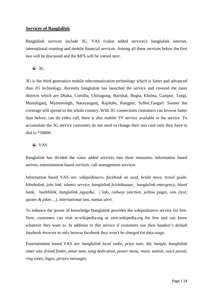#### **Services of Banglalink**

Banglalink services include 3G, VAS (value added services), banglalink internet, international roaming and mobile financial services. Among all these services below the first two will be discussed and the MFS will be coered next.

#### $\div$  3G

3G is the third generation mobile telecomunication technology which is faster and advanced than 2G technology. Recently banglalink has launched the service and covered the main districts which are Dhaka, Comilla, Chittagong, Barishal, Bogra, Khulna, Gazipur, Tangi, Munshiganj, Mymensingh, Narayanganj, Rajshahi, Rangpur, Sylhet,Tangail. Sooner the coverage will spread to the whole country. With 3G connections customers can browse faster than before, can do video call, there is also mobile TV service available in the service. To accumulate the 3G service customers do not need to change their sim card only they have to dial to  $*5000#$ 

#### $\overline{\phantom{A}}$  VAS

Banglalink has divided the value added services into three measures; information based serives, entertainment based services, call management services.

Information based VAS are: *wikipediazero, facebook on ussd, krishi news, travel guide, bibaholink, jobs link, islamic service, banglalink krishibazaar, banglalink emergency, blood bank, healthlink, banglalink jigyasha, i´info, railway junction, yellow pages, sms (text, quotes & jokes ...), international sms, namaz alert.*

To enhance the power of knowledge Banglalink provides the *wikipediazero* service for free. Now, customers can visit m.wikipedia.org or zero.wikipedia.org for free and can know whatever they want to. In addition to this service if customers use their handset's default facebook browser to only browse facebook they won't be charged for data usage.

Entertainment based VAS are: *banglalink local radio, priyo tune, bbc bangle, banglalink timer sms, friend finder, amar tune, song dedication, power menu, music station, voice portal, ring tones, logos, picture messages*.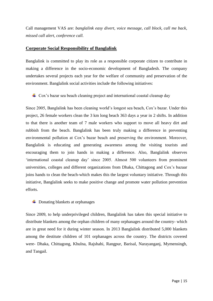Call management VAS are: *banglalink easy divert, voice message, call block, call me back, missed call alert, conference call.*

#### **Corporate Social Responsibility of Banglalink**

Banglalink is committed to play its role as a responsible corporate citizen to contribute in making a difference in the socio-economic development of Bangladesh. The company undertakes several projects each year for the welfare of community and preservation of the environment. Banglalink social activities include the following initiatives:

 $\perp$  Cox's bazar sea beach cleaning project and international coastal cleanup day

Since 2005, Banglalink has been cleaning world's longest sea beach, Cox's bazar. Under this project, 26 female workers clean the 3 km long beach 363 days a year in 2 shifts. In addition to that there is another team of 7 male workers who support to move all heavy dirt and rubbish from the beach. Banglalink has been truly making a difference in preventing environmental pollution at Cox's bazar beach and preserving the environment. Moreover, Banglalink is educating and generating awareness among the visiting tourists and encouraging them to join hands in making a difference. Also, Banglalink observes 'international coastal cleanup day' since 2005. Almost 500 volunteers from prominent universities, colleges and different organizations from Dhaka, Chittagong and Cox's bazaar joins hands to clean the beach-which makes this the largest voluntary initiative. Through this initiative, Banglalink seeks to make positive change and promote water pollution prevention efforts.

#### $\downarrow$  Donating blankets at orphanages

Since 2009, to help underprivileged children, Banglalink has taken this special initiative to distribute blankets among the orphan children of many orphanages around the country- which are in great need for it during winter season. In 2013 Banglalink distributed 5,000 blankets among the destitute children of 101 orphanages across the country. The districts covered were- Dhaka, Chittagong, Khulna, Rajshahi, Rangpur, Barisal, Narayanganj, Mymensingh, and Tangail.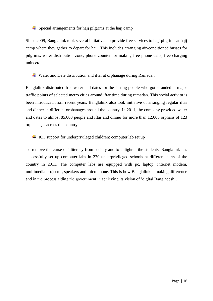$\div$  Special arrangements for hajj pilgrims at the hajj camp

Since 2009, Banglalink took several initiatives to provide free services to hajj pilgrims at hajj camp where they gather to depart for hajj. This includes arranging air-conditioned busses for pilgrims, water distribution zone, phone counter for making free phone calls, free charging units etc.

Water and Date distribution and iftar at orphanage during Ramadan

Banglalink distributed free water and dates for the fasting people who got stranded at major traffic points of selected metro cities around iftar time during ramadan. This social activitu is been introduced from recent years. Banglalink also took initiative of arranging regular iftar and dinner in different orphanages around the country. In 2011, the company provided water and dates to almost 85,000 people and iftar and dinner for more than 12,000 orphans of 123 orphanages across the country.

 $\perp$  ICT support for underprivileged children: computer lab set up

To remove the curse of illiteracy from society and to enlighten the students, Banglalink has successfully set up computer labs in 270 underprivileged schools at different parts of the country in 2011. The computer labs are equipped with pc, laptop, internet modem, multimedia projector, speakers and microphone. This is how Banglalink is making difference and in the process aiding the government in achieving its vision of 'digital Bangladesh'.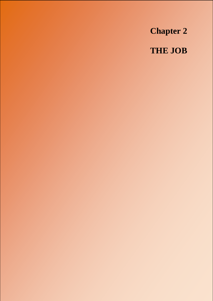**Chapter 2 THE JOB**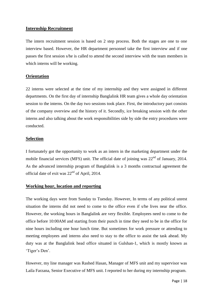#### **Internship Recruitment**

The intern recruitment session is based on 2 step process. Both the stages are one to one interview based. However, the HR department personnel take the first interview and if one passes the first session s/he is called to attend the second interview with the team members in which interns will be working.

#### **Orientation**

22 interns were selected at the time of my internship and they were assigned in different departments. On the first day of internship Banglalink HR team gives a whole day orientation session to the interns. On the day two sessions took place. First, the introductory part consists of the company overview and the history of it. Secondly, ice breaking session with the other interns and also talking about the work responsibilities side by side the entry procedures were conducted.

#### **Selection**

I fortunately got the opportunity to work as an intern in the marketing department under the mobile financial services (MFS) unit. The official date of joining was  $22<sup>nd</sup>$  of January, 2014. As the advanced internship program of Banglalink is a 3 months contractual agreement the official date of exit was 22nd of April, 2014.

#### **Working hour, location and reporting**

The working days were from Sunday to Tuesday. However, In terms of any political unrest situation the interns did not need to come to the office even if s/he lives near the office. However, the working hours in Banglalink are very flexible. Employees need to come to the office before 10:00AM and starting from their punch in time they need to be in the office for nine hours including one hour lunch time. But sometimes for work pressure or attending to meeting employees and interns also need to stay to the office to assist the task ahead. My duty was at the Banglalink head office situated in Gulshan-1, which is mostly known as 'Tiger's Den'.

However, my line manager was Rashed Hasan, Manager of MFS unit and my supervisor was Laila Farzana, Senior Executive of MFS unit. I reported to her during my internship program.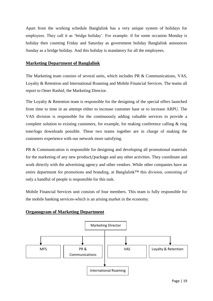Apart from the working schedule Banglalink has a very unique system of holidays for employees. They call it as 'bridge holiday'. For example: if for some occasion Monday is holiday then counting Friday and Saturday as government holiday Banglalink announces Sunday as a bridge holiday. And this holiday is mandatory for all the employees.

#### **Marketing Department of Banglalink**

The Marketing team consists of several units, which includes PR & Communications, VAS, Loyalty & Retention and International Roaming and Mobile Financial Services. The teams all report to Omer Rashid, the Marketing Director.

The Loyalty & Retention team is responsible for the designing of the special offers launched from time to time in an attempt either to increase customer base or to increase ARPU. The VAS division is responsible for the continuously adding valuable services to provide a complete solution to existing customers, for example, for making conference calling & ring tone/logo downloads possible. These two teams together are in charge of making the customers experience with our network more satisfying.

PR & Communication is responsible for designing and developing all promotional materials for the marketing of any new product/package and any other activities. They coordinate and work directly with the advertising agency and other vendors. While other companies have an entire department for promotions and branding, at Banglalink™ this division, consisting of only a handful of people is responsible for this task.

Mobile Financial Services unit consists of four members. This team is fully responsible for the mobile banking services-which is an arising market in the economy.

#### **Organogram of Marketing Department**

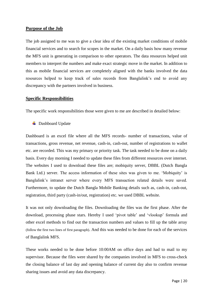#### **Purpose of the Job**

The job assigned to me was to give a clear idea of the existing market conditions of mobile financial services and to search for scopes in the market. On a daily basis how many revenue the MFS unit is generating in comparison to other operators. The data resources helped unit members to interpret the numbers and make exact strategic move in the market. In addition to this as mobile financial services are completely aligned with the banks involved the data resources helped to keep track of sales records from Banglalink's end to avoid any discrepancy with the partners involved in business.

#### **Specific Responsibilities**

The specific work responsibilities those were given to me are described in detailed below:

**↓** Dashboard Update

Dashboard is an excel file where all the MFS records- number of transactions, value of transactions, gross revenue, net revenue, cash-in, cash-out, number of registrations to wallet etc. are recorded. This was my primary or priority task. The task needed to be done on a daily basis. Every day morning I needed to update these files from different resources over internet. The websites I used to download these files are; mobiquity server, DBBL (Dutch Bangla Bank Ltd.) server. The access information of these sites was given to me. 'Mobiquity' is Banglalink's intranet server where every MFS transaction related details were saved. Furthermore, to update the Dutch Bangla Mobile Banking details such as, cash-in, cash-out, registration, third party (cash-in/out, registration) etc. we used DBBL website.

It was not only downloading the files. Downloading the files was the first phase. After the download, processing phase stars. Hereby I used 'pivot table' and 'vlookup' formula and other excel methods to find out the transaction numbers and values to fill up the table array (follow the first two lines of first paragraph). And this was needed to be done for each of the services of Banglalink MFS.

These works needed to be done before 10:00AM on office days and had to mail to my supervisor. Because the files were shared by the companies involved in MFS to cross-check the closing balance of last day and opening balance of current day also to confirm revenue sharing issues and avoid any data discrepancy.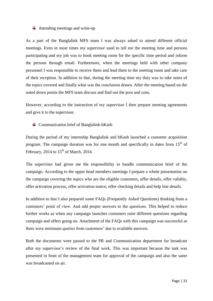#### $\overline{\phantom{a}}$  Attending meetings and write-up

As a part of the Banglalink MFS team I was always asked to attend different official meetings. Even in most times my supervisor used to tell me the meeting time and persons participating and my job was to book meeting room for the specific time period and inform the persons through email. Furthermore, when the meetings held with other company personnel I was responsible to receive them and lead them to the meeting room and take care of their reception. In addition to that, during the meeting time my duty was to take notes of the topics covered and finally what was the conclusion drawn. After the meeting based on the noted down points the MFS team discuss and find out the pros and cons.

However, according to the instruction of my supervisor I then prepare meeting agreements and give it to the supervisor.

 $\triangleq$  Communication brief of Banglalink-bKash

During the period of my internship Banglalink and bKash launched a customer acquisition program. The campaign duration was for one month and specifically in dates from  $15<sup>th</sup>$  of February, 2014 to  $15<sup>th</sup>$  of March, 2014.

The supervisor had given me the responsibility to handle communication brief of the campaign. According to the upper head members meetings I prepare a whole presentation on the campaign covering the topics who are the eligible customers, offer details, offer validity, offer activation process, offer activation notice, offer checking details and help line details.

In addition to that I also prepared some FAQs (Frequently Asked Questions) thinking from a customers' point of view. And add proper answers to the questions. This helped to reduce further works as when any campaign launches customers raise different questions regarding campaign and offers going on. Attachment of the FAQs with this campaign was successful as there were minimum queries from customers' due to available answers.

Both the documents were passed to the PR and Communication department for broadcast after my supervisor's review of the final work. This was important because the task was presented in front of the management team for approval of the campaign and also the same was broadcasted on air.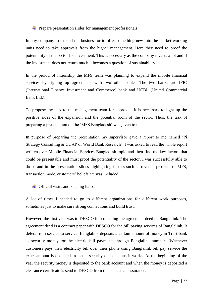#### $\div$  Prepare presentation slides for management professionals

In any company to expand the business or to offer something new into the market working units need to take approvals from the higher management. Here they need to proof the potentiality of the sector for investment. This is necessary as the company invests a lot and if the investment does not return much it becomes a question of sustainability.

In the period of internship the MFS team was planning to expand the mobile financial services by signing up agreements with two other banks. The two banks are IFIC (International Finance Investment and Commerce) bank and UCBL (United Commercial Bank Ltd.).

To propose the task to the management team for approvals it is necessary to light up the positive sides of the expansion and the potential room of the sector. Thus, the task of preparing a presentation on the 'MFS Bangladesh' was given to me.

In purpose of preparing the presentation my supervisor gave a report to me named 'Pi Strategy Consulting & CGAP of World Bank Research'. I was asked to read the whole report written over Mobile Financial Services Bangladesh topic and then find the key factors that could be presentable and must proof the potentiality of the sector. I was successfully able to do so and in the presentation slides highlighting factors such as revenue prospect of MFS, transaction mode, customers' beliefs etc was included.

 $\downarrow$  Official visits and keeping liaison

A lot of times I needed to go to different organizations for different work purposes, sometimes just to make sure strong connections and build trust.

However, the first visit was to DESCO for collecting the agreement deed of Banglalink. The agreement deed is a contract paper with DESCO for the bill paying services of Banglalink. It defers from service to service. Banglalink deposits a certain amount of money in Trust bank as security money for the electric bill payments through Banglalink numbers. Whenever customers pays their electricity bill over their phone using Banglalink bill pay service the exact amount is deducted from the security deposit, thus it works. At the beginning of the year the security money is deposited to the bank account and when the money is deposited a clearance certificate is send to DESCO from the bank as an assurance.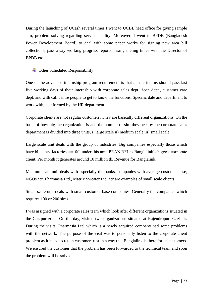During the launching of UCash several times I went to UCBL head office for giving sample sim, problem solving regarding service facility. Moreover, I went to BPDB (Bangladesh Power Development Board) to deal with some paper works for signing new area bill collections, pass away working progress reports, fixing meting times with the Director of BPDB etc.

#### $\overline{\phantom{a}}$  Other Scheduled Responsibility

One of the advanced internship program requirement is that all the interns should pass last five working days of their internship with corporate sales dept., icon dept., customer care dept. and with call centre people to get to know the functions. Specific date and department to work with, is informed by the HR department.

Corporate clients are not regular customers. They are basically different organizations. On the basis of how big the organization is and the number of sim they occupy the corporate sales department is divided into three units, i) large scale ii) medium scale iii) small scale.

Large scale unit deals with the group of industries. Big companies especially those which have bi plants, factories etc. fall under this unit. PRAN RFL is Banglalink's biggest corporate client. Per month it generates around 10 million tk. Revenue for Banglalink.

Medium scale unit deals with especially the banks, companies with average customer base, NGOs etc. Pharmasia Ltd., Matrix Sweater Ltd. etc are examples of small scale clients.

Small scale unit deals with small customer base companies. Generally the companies which requires 100 or 200 sims.

I was assigned with a corporate sales team which look after different organizations situated in the Gazipur zone. On the day, visited two organizations situated at Rajendropur, Gazipur. During the visits, Pharmasia Ltd. which is a newly acquired company had some problems with the network. The purpose of the visit was to personally listen to the corporate client problem as it helps to retain customer trust in a way that Banglalink is there for its customers. We ensured the customer that the problem has been forwarded to the technical team and soon the problem will be solved.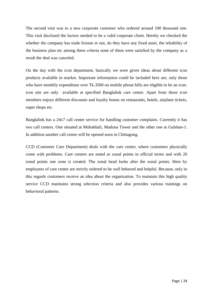The second visit was to a new corporate customer who ordered around 100 thousand sim. This visit disclosed the factors needed to be a valid corporate client. Hereby we checked the whether the company has trade license or not, do they have any fixed asset, the reliability of the business plan etc among these criteria none of them were satisfied by the company as a result the deal was canceled.

On the day with the icon department, basically we were given ideas about different icon products available in market. Important information could be included here are; only those who have monthly expenditure over Tk.3500 on mobile phone bills are eligible to be an icon. icon sim are only available at specified Banglalink care centre. Apart from those icon members enjoys different discounts and loyalty bonus on restaurants, hotels, airplane tickets, super shops etc.

Banglalink has a 24x7 call center service for handling customer complains. Currently it has two call centers. One situated at Mohakhali, Madona Tower and the other one at Gulshan-1. In addition another call centre will be opened soon in Chittagong.

CCD (Customer Care Department) deals with the care centre, where customers physically come with problems. Care centers are noted as zonal points in official terms and with 20 zonal points one zone is created. The zonal head looks after the zonal points. Here by employees of care center are strictly ordered to be well behaved and helpful. Because, only in this regards customers receive an idea about the organization. To maintain this high quality service CCD maintains strong selection criteria and also provides various trainings on behavioral patterns.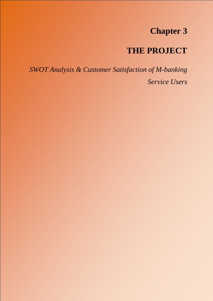### **Chapter 3**

## **THE PROJECT**

*SWOT Analysis & Customer Satisfaction of M-banking Service Users*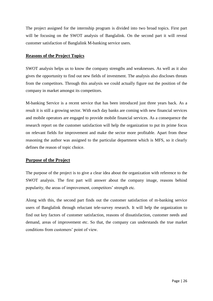The project assigned for the internship program is divided into two broad topics. First part will be focusing on the SWOT analysis of Banglalink. On the second part it will reveal customer satisfaction of Banglalink M-banking service users.

#### **Reasons of the Project Topics**

SWOT analysis helps us to know the company strengths and weaknesses. As well as it also gives the opportunity to find out new fields of investment. The analysis also discloses threats from the competitors. Through this analysis we could actually figure out the position of the company in market amongst its competitors.

M-banking Service is a recent service that has been introduced just three years back. As a result it is still a growing sector. With each day banks are coming with new financial services and mobile operators are engaged to provide mobile financial services. As a consequence the research report on the customer satisfaction will help the organization to put its prime focus on relevant fields for improvement and make the sector more profitable. Apart from these reasoning the author was assigned to the particular department which is MFS, so it clearly defines the reason of topic choice.

#### **Purpose of the Project**

The purpose of the project is to give a clear idea about the organization with reference to the SWOT analysis. The first part will answer about the company image, reasons behind popularity, the areas of improvement, competitors' strength etc.

Along with this, the second part finds out the customer satisfaction of m-banking service users of Banglalink through reluctant tele-survey research. It will help the organization to find out key factors of customer satisfaction, reasons of dissatisfaction, customer needs and demand, areas of improvement etc. So that, the company can understands the true market conditions from customers' point of view.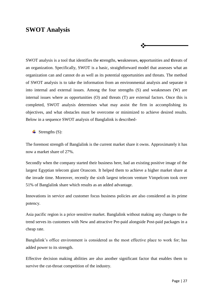#### **SWOT Analysis**

SWOT analysis is a tool that identifies the **s**trengths, **w**eaknesses, **o**pportunities and **t**hreats of an organization. Specifically, SWOT is a basic, straightforward model that assesses what an organization can and cannot do as well as its potential opportunities and threats. The method of SWOT analysis is to take the information from an environmental analysis and separate it into internal and external issues. Among the four strengths (S) and weaknesses (W) are internal issues where as opportunities (O) and threats (T) are external factors. Once this is completed, SWOT analysis determines what may assist the firm in accomplishing its objectives, and what obstacles must be overcome or minimized to achieve desired results. Below in a sequence SWOT analysis of Banglalink is described-

∙∑≁

 $\blacktriangle$  Strengths (S):

The foremost strength of Banglalink is the current market share it owns. Approximately it has now a market share of 27%.

Secondly when the company started their business here, had an existing positive image of the largest Egyptian telecom giant Orascom. It helped them to achieve a higher market share at the invade time. Moreover, recently the sixth largest telecom venture Vimpelcom took over 51% of Banglalink share which results as an added advantage.

Innovations in service and customer focus business policies are also considered as its prime potency.

Asia pacific region is a price sensitive market. Banglalink without making any changes to the trend serves its customers with New and attractive Pre-paid alongside Post-paid packages in a cheap rate.

Banglalink's office environment is considered as the most effective place to work for; has added power to its strength.

Effective decision making abilities are also another significant factor that enables them to survive the cut-throat competition of the industry.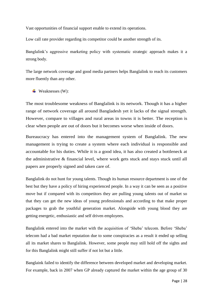Vast opportunities of financial support enable to extend its operations.

Low call rate provider regarding its competitor could be another strength of its.

Banglalink's aggressive marketing policy with systematic strategic approach makes it a strong body.

The large network coverage and good media partners helps Banglalink to reach its customers more fluently than any other.

 $\blacktriangleright$  Weaknesses (W):

The most troublesome weakness of Banglalink is its network. Though it has a higher range of network coverage all around Bangladesh yet it lacks of the signal strength. However, compare to villages and rural areas in towns it is better. The reception is clear when people are out of doors but it becomes worse when inside of doors.

Bureaucracy has entered into the management system of Banglalink. The new management is trying to create a system where each individual is responsible and accountable for his duties. While it is a good idea, it has also created a bottleneck at the administrative & financial level, where work gets stuck and stays stuck until all papers are properly signed and taken care of.

Banglalink do not hunt for young talents. Though its human resource department is one of the best but they have a policy of hiring experienced people. In a way it can be seen as a positive move but if compared with its competitors they are pulling young talents out of market so that they can get the new ideas of young professionals and according to that make proper packages to grab the youthful generation market. Alongside with young blood they are getting energetic, enthusiastic and self driven employees.

Banglalink entered into the market with the acquisition of 'Sheba' telecom. Before 'Sheba' telecom had a bad market reputation due to some conspiracies as a result it ended up selling all its market shares to Banglalink. However, some people may still hold off the sights and for this Banglalink might still suffer if not lot but a little.

Banglaink failed to identify the difference between developed market and developing market. For example, back in 2007 when GP already captured the market within the age group of 30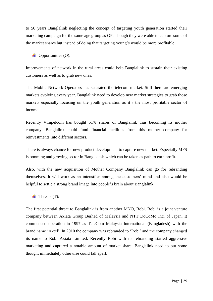to 50 years Banglalink neglecting the concept of targeting youth generation started their marketing campaign for the same age group as GP. Though they were able to capture some of the market shares but instead of doing that targeting young's would be more profitable.

 $\triangleq$  Opportunities (O):

Improvements of network in the rural areas could help Banglalink to sustain their existing customers as well as to grab new ones.

The Mobile Network Operators has saturated the telecom market. Still there are emerging markets evolving every year. Banglalink need to develop new market strategies to grab those markets especially focusing on the youth generation as it's the most profitable sector of income.

Recently Vimpelcom has bought 51% shares of Banglalink thus becoming its mother company. Banglalink could fund financial facilities from this mother company for reinvestments into different sectors.

There is always chance for new product development to capture new market. Especially MFS is booming and growing sector in Bangladesh which can be taken as path to earn profit.

Also, with the new acquisition of Mother Company Banglalink can go for rebranding themselves. It will work as an intensifier among the customers' mind and also would be helpful to settle a strong brand image into people's brain about Banglalink.

 $\leftarrow$  Threats (T):

The first potential threat to Banglalink is from another MNO, Robi. Robi is a joint venture company between Axiata Group Berhad of Malaysia and NTT DoCoMo Inc. of Japan. It commenced operation in 1997 as TeleCom Malaysia International (Bangladesh) with the brand name 'Aktel'. In 2010 the company was rebranded to 'Robi' and the company changed its name to Robi Axiata Limited. Recently Robi with its rebranding started aggressive marketing and captured a notable amount of market share. Banglalink need to put some thought immediately otherwise could fall apart.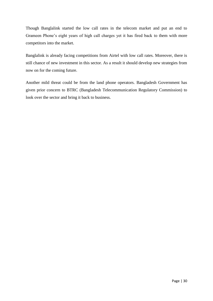Though Banglalink started the low call rates in the telecom market and put an end to Grameen Phone's eight years of high call charges yet it has fired back to them with more competitors into the market.

Banglalink is already facing competitions from Airtel with low call rates. Moreover, there is still chance of new investment in this sector. As a result it should develop new strategies from now on for the coming future.

Another mild threat could be from the land phone operators. Bangladesh Government has given prior concern to BTRC (Bangladesh Telecommunication Regulatory Commission) to look over the sector and bring it back to business.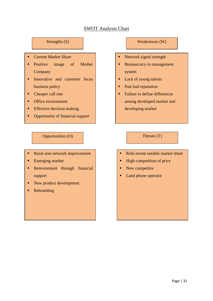#### SWOT Analysis Chart

- Current Market Share
- Positive image of Mother Company
- Innovative and customer focus business policy
- Cheaper call rate
- Office environment
- $\blacksquare$  Effective decision making

Large network coverage

**•** Opportunity of financial support

#### Opportunities (O) Threats (T)

- Rural area network improvement
- **Emerging market**
- **Reinvestment through financial** support
- New product development
- Rebranding

#### Strengths (S) Neaknesses (W)

- Network signal strength
- **Bureaucracy in management** system
- Lack of young talents
- Past bad reputation
- Failure to define differences among developed market and developing market

- Robi recent notable market share
- $\blacksquare$  High competition of price
- New competitor
- Land phone operator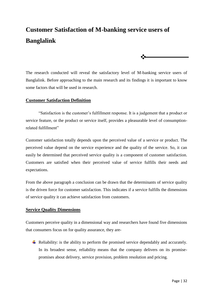### **Customer Satisfaction of M-banking service users of Banglalink**

The research conducted will reveal the satisfactory level of M-banking service users of Banglalink. Before approaching to the main research and its findings it is important to know some factors that will be used in research.

 $\ddot{\cdot}$ 

#### **Customer Satisfaction Definition**

"Satisfaction is the customer's fulfillment response. It is a judgement that a product or service feature, or the product or service itself, provides a pleasurable level of consumptionrelated fulfillment"

Customer satisfaction totally depends upon the perceived value of a service or product. The perceived value depend on the service experience and the quality of the service. So, it can easily be determined that perceived service quality is a component of customer satisfaction. Customers are satisfied when their perceived value of service fulfills their needs and expectations.

From the above paragraph a conclusion can be drawn that the determinants of service quality is the driven force for customer satisfaction. This indicates if a service fulfills the dimensions of service quality it can achieve satisfaction from customers.

#### **Service Quality Dimensions**

Customers perceive quality in a dimensional way and researchers have found five dimensions that consumers focus on for quality assurance, they are-

 $\overline{\phantom{a}}$  Reliability: is the ability to perform the promised service dependably and accurately. In its broadest sense, reliability means that the company delivers on its promisepromises about delivery, service provision, problem resolution and pricing.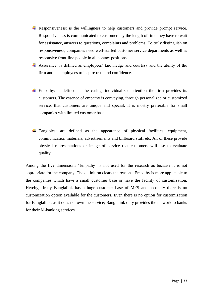- Responsiveness: is the willingness to help customers and provide prompt service. Responsiveness is communicated to customers by the length of time they have to wait for assistance, answers to questions, complaints and problems. To truly distinguish on responsiveness, companies need well-staffed customer service departments as well as responsive front-line people in all contact positions.
- Assurance: is defined as employees' knowledge and courtesy and the ability of the firm and its employees to inspire trust and confidence.
- $\pm$  Empathy: is defined as the caring, individualized attention the firm provides its customers. The essence of empathy is conveying, through personalized or customized service, that customers are unique and special. It is mostly preferable for small companies with limited customer base.
- $\pm$  Tangibles: are defined as the appearance of physical facilities, equipment, communication materials, advertisements and billboard stuff etc. All of these provide physical representations or image of service that customers will use to evaluate quality.

Among the five dimensions 'Empathy' is not used for the research as because it is not appropriate for the company. The definition clears the reasons. Empathy is more applicable to the companies which have a small customer base or have the facility of customization. Hereby, firstly Banglalink has a huge customer base of MFS and secondly there is no customization option available for the customers. Even there is no option for customization for Banglalink, as it does not own the service; Banglalink only provides the network to banks for their M-banking services.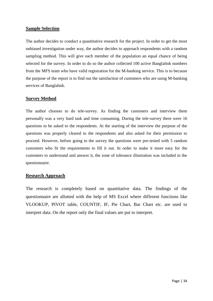#### **Sample Selection**

The author decides to conduct a quantitative research for the project. In order to get the most unbiased investigation under way, the author decides to approach respondents with a random sampling method. This will give each member of the population an equal chance of being selected for the survey. In order to do so the author collected 100 active Banglalink numbers from the MFS team who have valid registration for the M-banking service. This is to because the purpose of the report is to find out the satisfaction of customers who are using M-banking services of Banglalink.

#### **Survey Method**

The author chooses to do tele-survey. As finding the customers and interview them personally was a very hard task and time consuming. During the tele-survey there were 16 questions to be asked to the respondents. At the starting of the interview the purpose of the questions was properly cleared to the respondents and also asked for their permission to proceed. However, before going to the survey the questions were pre-tested with 5 random customers who fit the requirements to fill it out. In order to make it more easy for the customers to understand and answer it, the zone of tolerance illustration was included in the questionnaire.

#### **Research Approach**

The research is completely based on quantitative data. The findings of the questionnaire are allotted with the help of MS Excel where different functions like VLOOKUP, PIVOT table, COUNTIF, IF, Pie Chart, Bar Chart etc. are used to interpret data. On the report only the final values are put to interpret.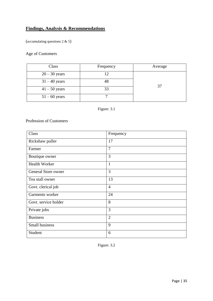#### **Findings, Analysis & Recommendations**

(accumulating questions  $2 \& 5$ )

#### Age of Customers

| Class           | Frequency | Average |
|-----------------|-----------|---------|
| $20 - 30$ years |           |         |
| $31 - 40$ years |           |         |
| $41 - 50$ years | 33        | 37      |
| $51 - 60$ years |           |         |

#### Figure: 3.1

Profession of Customers

| Class                | Frequency      |
|----------------------|----------------|
| Rickshaw puller      | 17             |
| Farmer               | $\overline{7}$ |
| Boutique owner       | 3              |
| <b>Health Worker</b> | $\mathbf{1}$   |
| General Store owner  | 3              |
| Tea stall owner      | 13             |
| Govt. clerical job   | $\overline{4}$ |
| Garments worker      | 24             |
| Govt. service holder | 8              |
| Private jobs         | 3              |
| <b>Business</b>      | $\overline{2}$ |
| Small business       | 9              |
| Student              | 6              |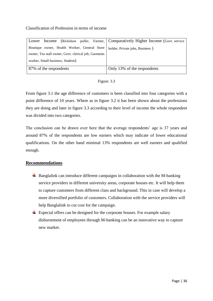#### Classification of Profession in terms of income

| Lower                                                | Income (Rickshaw puller, Farmer, Comparatively Higher Income (Govt. service |
|------------------------------------------------------|-----------------------------------------------------------------------------|
| Boutique owner, Health Worker, General Store         | holder, Private jobs, Business)                                             |
| owner, Tea stall owner, Govt. clerical job, Garments |                                                                             |
| worker, Small business, Student)                     |                                                                             |
| 87% of the respondents                               | Only 13% of the respondents                                                 |

From figure 3.1 the age difference of customers is been classified into four categories with a point difference of 10 years. Where as in figure 3.2 it has been shown about the professions they are doing and later in figure 3.3 according to their level of income the whole respondent was divided into two categories.

The conclusion can be drawn over here that the average respondents' age is 37 years and around 87% of the respondents are low earners which may indicate of lower educational qualifications. On the other hand minimal 13% respondents are well earners and qualified enough.

#### **Recommendations**

- $\overline{\phantom{a}}$  Banglalink can introduce different campaigns in collaboration with the M-banking service providers in different university areas, corporate houses etc. It will help them to capture customers from different class and background. This in case will develop a more diversified portfolio of customers. Collaboration with the service providers will help Banglalink to cut cost for the campaign.
- $\overline{\phantom{a}}$  Especial offers can be designed for the corporate houses. For example salary disbursement of employees through M-banking can be an innovative way to capture new market.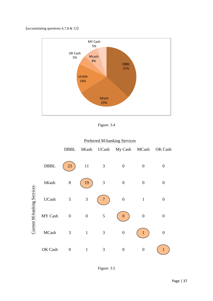#### (accumulating questions 6,7,8 & 12)

![](_page_43_Figure_1.jpeg)

Figure: 3.4

#### Preferred M-banking Services

|                            |              | DBBL             | bKash            |                | UCash My Cash MCash OK Cash |                  |                  |
|----------------------------|--------------|------------------|------------------|----------------|-----------------------------|------------------|------------------|
| Current M-banking Services | <b>DBBL</b>  | 23               | 11               | 3              | $\overline{0}$              | $\overline{0}$   | $\overline{0}$   |
|                            | bKash        | $8\,$            | 19               | 3              | $\overline{0}$              | $\overline{0}$   | $\overline{0}$   |
|                            | <b>UCash</b> | 5                | $\mathfrak{Z}$   |                | $\overline{0}$              | $\mathbf{1}$     | $\overline{0}$   |
|                            | MY Cash      | $\boldsymbol{0}$ | $\boldsymbol{0}$ | 5              | 0                           | $\boldsymbol{0}$ | $\boldsymbol{0}$ |
|                            | MCash        | 3                | $\mathbf{1}$     | $\mathfrak{Z}$ | $\boldsymbol{0}$            |                  | 0                |
|                            | OK Cash      | $\boldsymbol{0}$ | 1                | 3              | 0                           | $\overline{0}$   | 1                |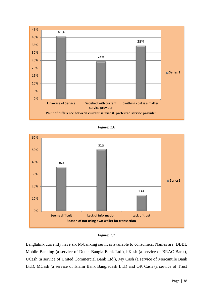![](_page_44_Figure_0.jpeg)

| Figure: 3.6 |  |
|-------------|--|
|             |  |

![](_page_44_Figure_2.jpeg)

![](_page_44_Figure_3.jpeg)

Banglalink currently have six M-banking services available to consumers. Names are, DBBL Mobile Banking (a service of Dutch Bangla Bank Ltd.), bKash (a service of BRAC Bank), UCash (a service of United Commercial Bank Ltd.), My Cash (a service of Mercantile Bank Ltd.), MCash (a service of Islami Bank Bangladesh Ltd.) and OK Cash (a service of Trust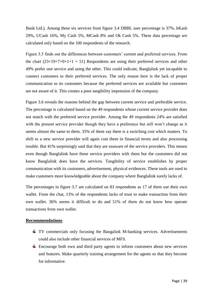Bank Ltd.). Among these six services from figure 3.4 DBBL user percentage is 37%, bKash 29%, UCash 16%, My Cash 5%, MCash 8% and Ok Cash 5%. These data percentage are calculated only based on the 100 respondents of the research.

Figure 3.5 finds out the differences between customers' current and preferred services. From the chart  $(23+19+7+0+1+1 = 51)$  Respondents are using their preferred services and other 49% prefer one service and using the other. This could indicate, Banglalink yet incapable to connect customers to their preferred services. The only reason here is the lack of proper communication to its customers because the preferred services are available but customers are not aware of it. This creates a poor tangibility impression of the company.

Figure 3.6 reveals the reasons behind the gap between current service and preferable service. The percentage is calculated based on the 49 respondents whose current service provider does not match with the preferred service provider. Among the 49 respondents 24% are satisfied with the present service provider though they have a preference but still won't change as it seems almost the same to them. 35% of them say there is a switching cost which matters. To shift to a new service provider will again cost them in financial terms and also processing trouble. But 41% surprisingly said that they are unaware of the service providers. This means even though Banglalink have these service providers with them but the customers did not know Banglalink does have the services. Tangibility of service establishes by proper communication with its customers, advertisement, physical evidences. These tools are used to make customers more knowledgeable about the company where Banglalink surely lacks of.

The percentages in figure 3.7 are calculated on 83 respondents as 17 of them use their own wallet. From the chat, 13% of the respondents lacks of trust to make transaction from their own wallet. 36% seems it difficult to do and 51% of them do not know how operate transactions from own wallet.

#### **Recommendations**

- TV commercials only focusing the Bangalink M-banking services. Advertisements could also include other financial services of MFS.
- Encourage both own and third party agents to inform customers about new services and features. Make quarterly training arrangement for the agents so that they become for informative.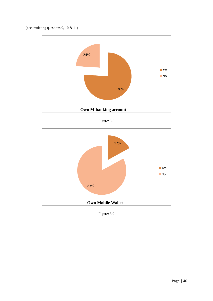(accumulating questions 9, 10 & 11)

![](_page_46_Figure_1.jpeg)

Figure: 3.8

![](_page_46_Figure_3.jpeg)

Figure: 3.9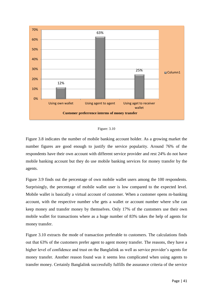![](_page_47_Figure_0.jpeg)

![](_page_47_Figure_1.jpeg)

Figure 3.8 indicates the number of mobile banking account holder. As a growing market the number figures are good enough to justify the service popularity. Around 76% of the respondents have their own account with different service provider and rest 24% do not have mobile banking account but they do use mobile banking services for money transfer by the agents.

Figure 3.9 finds out the percentage of own mobile wallet users among the 100 respondents. Surprisingly, the percentage of mobile wallet user is low compared to the expected level. Mobile wallet is basically a virtual account of customer. When a customer opens m-banking account, with the respective number s/he gets a wallet or account number where s/he can keep money and transfer money by themselves. Only 17% of the customers use their own mobile wallet for transactions where as a huge number of 83% takes the help of agents for money transfer.

Figure 3.10 extracts the mode of transaction preferable to customers. The calculations finds out that 63% of the customers prefer agent to agent money transfer. The reasons, they have a higher level of confidence and trust on the Banglalink as well as service provider's agents for money transfer. Another reason found was it seems less complicated when using agents to transfer money. Certainly Banglalink successfully fulfills the assurance criteria of the service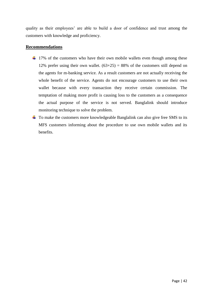quality as their employees' are able to build a door of confidence and trust among the customers with knowledge and proficiency.

#### **Recommendations**

- $\pm$  17% of the customers who have their own mobile wallets even though among these 12% prefer using their own wallet.  $(63+25) = 88%$  of the customers still depend on the agents for m-banking service. As a result customers are not actually receiving the whole benefit of the service. Agents do not encourage customers to use their own wallet because with every transaction they receive certain commission. The temptation of making more profit is causing loss to the customers as a consequence the actual purpose of the service is not served. Banglalink should introduce monitoring technique to solve the problem.
- $\overline{\text{+}}$  To make the customers more knowledgeable Banglalink can also give free SMS to its MFS customers informing about the procedure to use own mobile wallets and its benefits.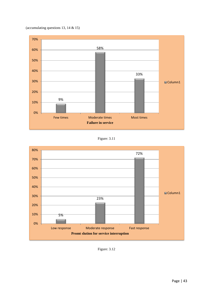![](_page_49_Figure_0.jpeg)

![](_page_49_Figure_1.jpeg)

Figure: 3.11

![](_page_49_Figure_3.jpeg)

Figure: 3.12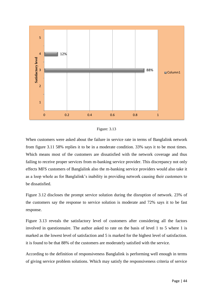![](_page_50_Figure_0.jpeg)

Figure: 3.13

When customers were asked about the failure in service rate in terms of Banglalink network from figure 3.11 58% replies it to be in a moderate condition. 33% says it to be most times. Which means most of the customers are dissatisfied with the network coverage and thus failing to receive proper services from m-banking service provider. This discrepancy not only effects MFS customers of Banglalink also the m-banking service providers would also take it as a loop whole as for Banglalink's inability in providing network causing their customers to be dissatisfied.

Figure 3.12 discloses the prompt service solution during the disruption of network. 23% of the customers say the response to service solution is moderate and 72% says it to be fast response.

Figure 3.13 reveals the satisfactory level of customers after considering all the factors involved in questionnaire. The author asked to rate on the basis of level 1 to 5 where 1 is marked as the lowest level of satisfaction and 5 is marked for the highest level of satisfaction. it is found to be that 88% of the customers are moderately satisfied with the service.

According to the definition of responsiveness Banglalink is performing well enough in terms of giving service problem solutions. Which may satisfy the responsiveness criteria of service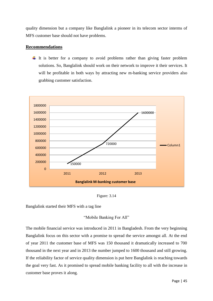quality dimension but a company like Banglalink a pioneer in its telecom sector interms of MFS customer base should not have problems.

#### **Recommendations**

 $\downarrow$  It is better for a company to avoid problems rather than giving faster problem solutions. So, Banglalink should work on their network to improve it their services. It will be profitable in both ways by attracting new m-banking service providers also grabbing customer satisfaction.

![](_page_51_Figure_3.jpeg)

Figure: 3.14

Banglalink started their MFS with a tag line

#### "Mobile Banking For All"

The mobile financial service was introduced in 2011 in Bangladesh. From the very beginning Banglalink focus on this sector with a promise to spread the service amongst all. At the end of year 2011 the customer base of MFS was 150 thousand it dramatically increased to 700 thousand in the next year and in 2013 the number jumped to 1600 thousand and still growing. If the reliability factor of service quality dimension is put here Banglalink is reaching towards the goal very fast. As it promised to spread mobile banking facility to all with the increase in customer base proves it along.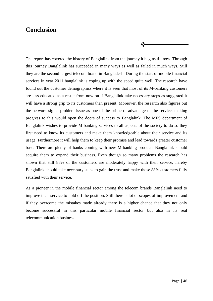#### **Conclusion**

The report has covered the history of Banglalink from the journey it begins till now. Through this journey Banglalink has succeeded in many ways as well as failed in much ways. Still they are the second largest telecom brand in Bangladesh. During the start of mobile financial services in year 2011 banglalink is coping up with the speed quite well. The research have found out the customer demographics where it is seen that most of its M-banking customers are less educated as a result from now on if Banglalink take necessary steps as suggested it will have a strong grip to its customers than present. Moreover, the research also figures out the network signal problem issue as one of the prime disadvantage of the service, making progress to this would open the doors of success to Banglalink. The MFS department of Banglalink wishes to provide M-banking services to all aspects of the society to do so they first need to know its customers and make them knowledgeable about their service and its usage. Furthermore it will help them to keep their promise and lead towards greater customer base. There are plenty of banks coming with new M-banking products Banglalink should acquire them to expand their business. Even though so many problems the research has shown that still 88% of the customers are moderately happy with their service, hereby Banglalink should take necessary steps to gain the trust and make those 88% customers fully satisfied with their service.

 $\ddot{\cdot}$ 

As a pioneer in the mobile financial sector among the telecom brands Banglalink need to improve their service to hold off the position. Still there is lot of scopes of improvement and if they overcome the mistakes made already there is a higher chance that they not only become successful in this particular mobile financial sector but also in its real telecommunication business.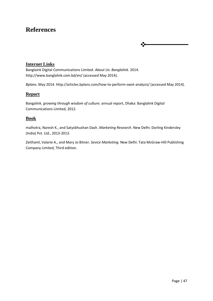### **References**

#### **Internet Links**

Banglaink Digital Communications Limited. *About Us: Banglalink.* 2014. http://www.banglalink.com.bd/en/ (accessed May 2014).

*Bplans.* May 2014. http://articles.bplans.com/how-to-perform-swot-analysis/ (accessed May 2014).

❖

#### **Report**

Bangalink. *growing through wisdom of culture.* annual report, Dhaka: Banglalink Digital Communications Limited, 2012.

#### **Book**

malhotra, Naresh K., and Satysbhushan Dash. *Marketing Research.* New Delhi: Dorling Kindersley (India) Pvt. Ltd., 2013-2013.

Zeithaml, Valarie A., and Mary Jo Bitner. *Sevice Marketing.* New Delhi: Tata McGraw-Hill Publishing Company Limited, Third edition.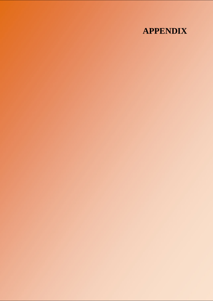## **APPENDIX**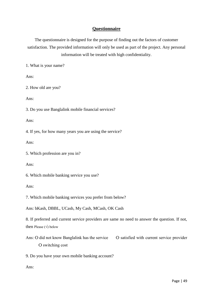#### **Questionnaire**

The questionnaire is designed for the purpose of finding out the factors of customer satisfaction. The provided information will only be used as part of the project. Any personal information will be treated with high confidentiality.

1. What is your name?

Ans:

2. How old are you?

Ans:

3. Do you use Banglalink mobile financial services?

Ans:

4. If yes, for how many years you are using the service?

Ans:

5. Which profession are you in?

Ans:

6. Which mobile banking service you use?

Ans:

7. Which mobile banking services you prefer from below?

Ans: bKash, DBBL, UCash, My Cash, MCash, OK Cash

8. If preferred and current service providers are same no need to answer the question. If not, then Please  $(\sqrt{})$  below

Ans: O did not know Banglalink has the service <br> O satisfied with current service provider Ѻ switching cost

9. Do you have your own mobile banking account?

Ans: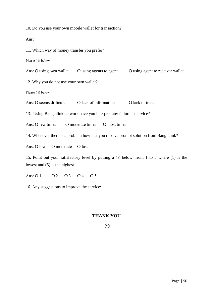10. Do you use your own mobile wallet for transaction?

Ans:

11. Which way of money transfer you prefer?

Please  $(\sqrt{})$  below

Ans: O using own wallet O using agents to agent O using agent to receiver wallet

12. Why you do not use your own wallet?

Please (√) below

Ans: O seems difficult  $\qquad$  O lack of information  $\qquad$  O lack of trust

13. Using Banglalink network have you interpret any failure in service?

Ans:  $\overline{O}$  few times  $\overline{O}$  moderate times  $\overline{O}$  most times

14. Whenever there is a problem how fast you receive prompt solution from Banglalink?

Ans: O low O moderate O fast

15. Point out your satisfactory level by putting a  $(\sqrt{6})$  below; from 1 to 5 where (1) is the lowest and (5) is the highest

Ans:  $\bigcap_{1} \bigcap_{2} \bigcap_{1} \bigcap_{1} \bigcap_{2} \bigcap_{1} \bigcap_{1} \bigcap_{1} \bigcap_{1} \bigcap_{1} \bigcap_{1} \bigcap_{1} \bigcap_{1} \bigcap_{1} \bigcap_{1} \bigcap_{1} \bigcap_{1} \bigcap_{1} \bigcap_{1} \bigcap_{1} \bigcap_{1} \bigcap_{1} \bigcap_{1} \bigcap_{1} \bigcap_{1} \bigcap_{1} \bigcap_{1} \bigcap_{1} \bigcap_{1} \bigcap_{1} \bigcap_{1} \bigcap_{1} \bigcap_{1} \bigcap_{1} \bigcap_{1} \bigcap_{1$ 

16. Any suggestions to improve the service:

#### **THANK YOU**

 $\odot$